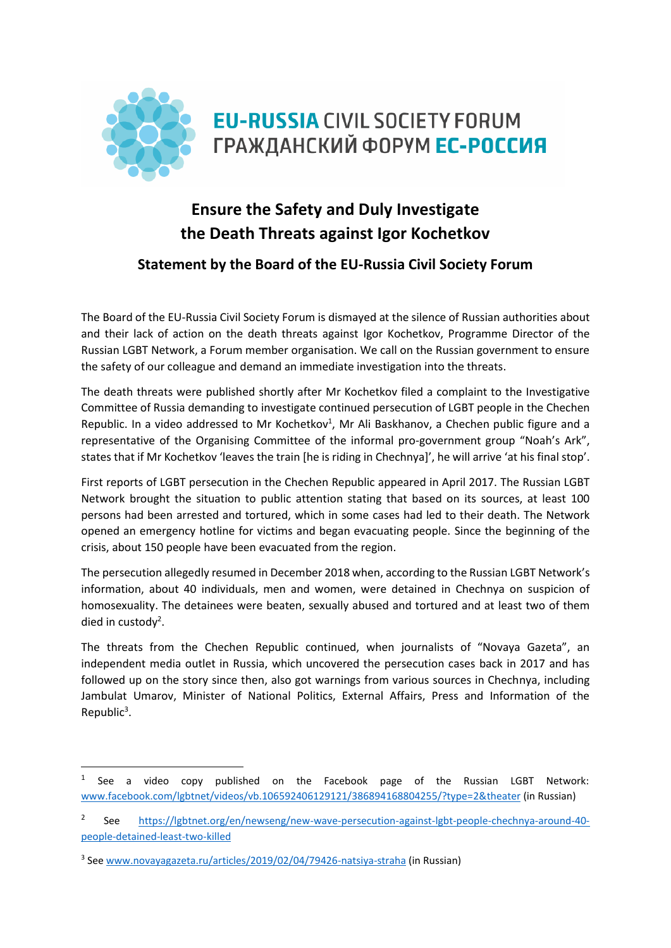

# **Ensure the Safety and Duly Investigate the Death Threats against Igor Kochetkov**

# **Statement by the Board of the EU-Russia Civil Society Forum**

The Board of the EU-Russia Civil Society Forum is dismayed at the silence of Russian authorities about and their lack of action on the death threats against Igor Kochetkov, Programme Director of the Russian LGBT Network, a Forum member organisation. We call on the Russian government to ensure the safety of our colleague and demand an immediate investigation into the threats.

The death threats were published shortly after Mr Kochetkov filed a complaint to the Investigative Committee of Russia demanding to investigate continued persecution of LGBT people in the Chechen Republic. In a video addressed to Mr Kochetkov<sup>1</sup>, Mr Ali Baskhanov, a Chechen public figure and a representative of the Organising Committee of the informal pro-government group "Noah's Ark", states that if Mr Kochetkov 'leaves the train [he is riding in Chechnya]', he will arrive 'at his final stop'.

First reports of LGBT persecution in the Chechen Republic appeared in April 2017. The Russian LGBT Network brought the situation to public attention stating that based on its sources, at least 100 persons had been arrested and tortured, which in some cases had led to their death. The Network opened an emergency hotline for victims and began evacuating people. Since the beginning of the crisis, about 150 people have been evacuated from the region.

The persecution allegedly resumed in December 2018 when, according to the Russian LGBT Network's information, about 40 individuals, men and women, were detained in Chechnya on suspicion of homosexuality. The detainees were beaten, sexually abused and tortured and at least two of them died in custody<sup>2</sup>.

The threats from the Chechen Republic continued, when journalists of "Novaya Gazeta", an independent media outlet in Russia, which uncovered the persecution cases back in 2017 and has followed up on the story since then, also got warnings from various sources in Chechnya, including Jambulat Umarov, Minister of National Politics, External Affairs, Press and Information of the Republic<sup>3</sup>.

**.** 

<sup>1</sup> See a video copy published on the Facebook page of the Russian LGBT Network: [www.facebook.com/lgbtnet/videos/vb.106592406129121/386894168804255/?type=2&theater](http://www.facebook.com/lgbtnet/videos/vb.106592406129121/386894168804255/?type=2&theater) (in Russian)

<sup>2</sup> See [https://lgbtnet.org/en/newseng/new-wave-persecution-against-lgbt-people-chechnya-around-40](https://lgbtnet.org/en/newseng/new-wave-persecution-against-lgbt-people-chechnya-around-40-people-detained-least-two-killed) [people-detained-least-two-killed](https://lgbtnet.org/en/newseng/new-wave-persecution-against-lgbt-people-chechnya-around-40-people-detained-least-two-killed)

<sup>&</sup>lt;sup>3</sup> See [www.novayagazeta.ru/articles/2019/02/04/79426-natsiya-straha](http://www.novayagazeta.ru/articles/2019/02/04/79426-natsiya-straha) (in Russian)